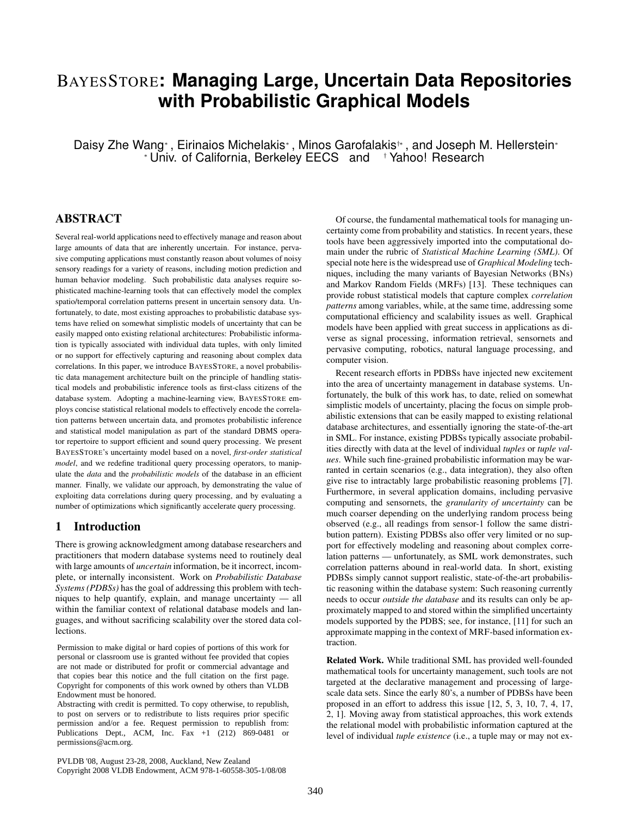# BAYESSTORE**: Managing Large, Uncertain Data Repositories with Probabilistic Graphical Models**

Daisy Zhe Wang<sup>∗</sup>, Eirinaios Michelakis<sup>∗</sup>, Minos Garofalakis<sup>\*</sup>, and Joseph M. Hellerstein<sup>∗</sup> <sup>∗</sup> Univ. of California, Berkeley EECS and † Yahoo! Research

## ABSTRACT

Several real-world applications need to effectively manage and reason about large amounts of data that are inherently uncertain. For instance, pervasive computing applications must constantly reason about volumes of noisy sensory readings for a variety of reasons, including motion prediction and human behavior modeling. Such probabilistic data analyses require sophisticated machine-learning tools that can effectively model the complex spatio/temporal correlation patterns present in uncertain sensory data. Unfortunately, to date, most existing approaches to probabilistic database systems have relied on somewhat simplistic models of uncertainty that can be easily mapped onto existing relational architectures: Probabilistic information is typically associated with individual data tuples, with only limited or no support for effectively capturing and reasoning about complex data correlations. In this paper, we introduce BAYESSTORE, a novel probabilistic data management architecture built on the principle of handling statistical models and probabilistic inference tools as first-class citizens of the database system. Adopting a machine-learning view, BAYESSTORE employs concise statistical relational models to effectively encode the correlation patterns between uncertain data, and promotes probabilistic inference and statistical model manipulation as part of the standard DBMS operator repertoire to support efficient and sound query processing. We present BAYESSTORE's uncertainty model based on a novel, *first-order statistical model*, and we redefine traditional query processing operators, to manipulate the *data* and the *probabilistic models* of the database in an efficient manner. Finally, we validate our approach, by demonstrating the value of exploiting data correlations during query processing, and by evaluating a number of optimizations which significantly accelerate query processing.

## 1 Introduction

There is growing acknowledgment among database researchers and practitioners that modern database systems need to routinely deal with large amounts of *uncertain* information, be it incorrect, incomplete, or internally inconsistent. Work on *Probabilistic Database Systems (PDBSs)* has the goal of addressing this problem with techniques to help quantify, explain, and manage uncertainty — all within the familiar context of relational database models and languages, and without sacrificing scalability over the stored data collections.

are not made or distributed for profit or commercial advantage and that copies bear this notice and the full citation on the first page. Copyright for components of this work owned by others than VLDB Endowment must be honored. Permission to make digital or hard copies of portions of this work for personal or classroom use is granted without fee provided that copies

Abstracting with credit is permitted. To copy otherwise, to republish, to post on servers or to redistribute to lists requires prior specific permission and/or a fee. Request permission to republish from: **Publications** Dept Publications Dept., ACM, Inc. Fax  $+1$  (212) 869-0481 or<br>nermissions  $\emptyset$  acm org permissions@acm.org.

PVLDB '08, August 23-28, 2008, Auckland, New Zealand Copyright 2008 VLDB Endowment, ACM 978-1-60558-305-1/08/08

Of course, the fundamental mathematical tools for managing uncertainty come from probability and statistics. In recent years, these tools have been aggressively imported into the computational domain under the rubric of *Statistical Machine Learning (SML)*. Of special note here is the widespread use of *Graphical Modeling* techniques, including the many variants of Bayesian Networks (BNs) and Markov Random Fields (MRFs) [13]. These techniques can provide robust statistical models that capture complex *correlation patterns* among variables, while, at the same time, addressing some computational efficiency and scalability issues as well. Graphical models have been applied with great success in applications as diverse as signal processing, information retrieval, sensornets and pervasive computing, robotics, natural language processing, and computer vision.

Recent research efforts in PDBSs have injected new excitement into the area of uncertainty management in database systems. Unfortunately, the bulk of this work has, to date, relied on somewhat simplistic models of uncertainty, placing the focus on simple probabilistic extensions that can be easily mapped to existing relational database architectures, and essentially ignoring the state-of-the-art in SML. For instance, existing PDBSs typically associate probabilities directly with data at the level of individual *tuples* or *tuple values*. While such fine-grained probabilistic information may be warranted in certain scenarios (e.g., data integration), they also often give rise to intractably large probabilistic reasoning problems [7]. Furthermore, in several application domains, including pervasive computing and sensornets, the *granularity of uncertainty* can be much coarser depending on the underlying random process being observed (e.g., all readings from sensor-1 follow the same distribution pattern). Existing PDBSs also offer very limited or no support for effectively modeling and reasoning about complex correlation patterns — unfortunately, as SML work demonstrates, such correlation patterns abound in real-world data. In short, existing PDBSs simply cannot support realistic, state-of-the-art probabilistic reasoning within the database system: Such reasoning currently needs to occur *outside the database* and its results can only be approximately mapped to and stored within the simplified uncertainty models supported by the PDBS; see, for instance, [11] for such an approximate mapping in the context of MRF-based information extraction.

Related Work. While traditional SML has provided well-founded mathematical tools for uncertainty management, such tools are not targeted at the declarative management and processing of largescale data sets. Since the early 80's, a number of PDBSs have been proposed in an effort to address this issue [12, 5, 3, 10, 7, 4, 17, 2, 1]. Moving away from statistical approaches, this work extends the relational model with probabilistic information captured at the level of individual *tuple existence* (i.e., a tuple may or may not ex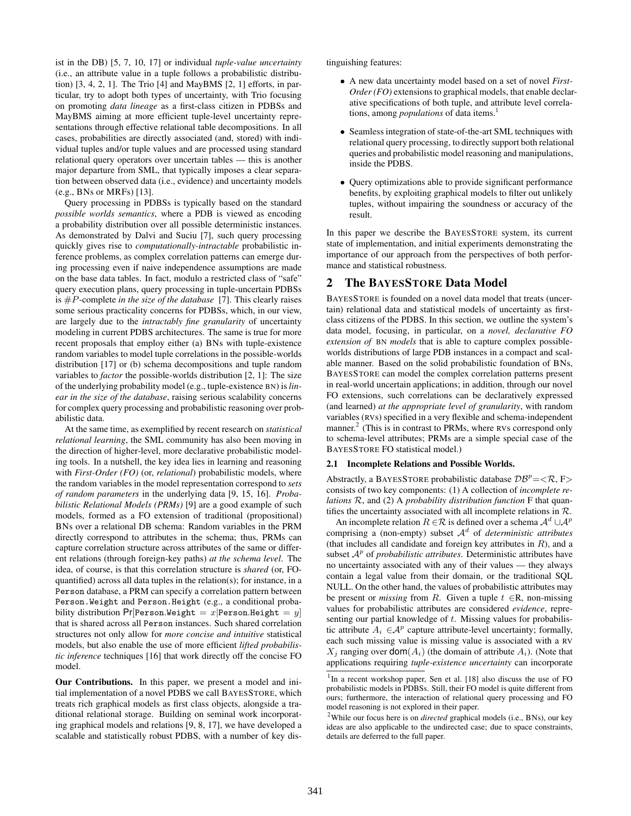ist in the DB) [5, 7, 10, 17] or individual *tuple-value uncertainty* (i.e., an attribute value in a tuple follows a probabilistic distribution) [3, 4, 2, 1]. The Trio [4] and MayBMS [2, 1] efforts, in particular, try to adopt both types of uncertainty, with Trio focusing on promoting *data lineage* as a first-class citizen in PDBSs and MayBMS aiming at more efficient tuple-level uncertainty representations through effective relational table decompositions. In all cases, probabilities are directly associated (and, stored) with individual tuples and/or tuple values and are processed using standard relational query operators over uncertain tables — this is another major departure from SML, that typically imposes a clear separation between observed data (i.e., evidence) and uncertainty models (e.g., BNs or MRFs) [13].

Query processing in PDBSs is typically based on the standard *possible worlds semantics*, where a PDB is viewed as encoding a probability distribution over all possible deterministic instances. As demonstrated by Dalvi and Suciu [7], such query processing quickly gives rise to *computationally-intractable* probabilistic inference problems, as complex correlation patterns can emerge during processing even if naive independence assumptions are made on the base data tables. In fact, modulo a restricted class of "safe" query execution plans, query processing in tuple-uncertain PDBSs is #P-complete *in the size of the database* [7]. This clearly raises some serious practicality concerns for PDBSs, which, in our view, are largely due to the *intractably fine granularity* of uncertainty modeling in current PDBS architectures. The same is true for more recent proposals that employ either (a) BNs with tuple-existence random variables to model tuple correlations in the possible-worlds distribution [17] or (b) schema decompositions and tuple random variables to *factor* the possible-worlds distribution [2, 1]: The size of the underlying probability model (e.g., tuple-existence BN) is*linear in the size of the database*, raising serious scalability concerns for complex query processing and probabilistic reasoning over probabilistic data.

At the same time, as exemplified by recent research on *statistical relational learning*, the SML community has also been moving in the direction of higher-level, more declarative probabilistic modeling tools. In a nutshell, the key idea lies in learning and reasoning with *First-Order (FO)* (or, *relational*) probabilistic models, where the random variables in the model representation correspond to *sets of random parameters* in the underlying data [9, 15, 16]. *Probabilistic Relational Models (PRMs)* [9] are a good example of such models, formed as a FO extension of traditional (propositional) BNs over a relational DB schema: Random variables in the PRM directly correspond to attributes in the schema; thus, PRMs can capture correlation structure across attributes of the same or different relations (through foreign-key paths) *at the schema level*. The idea, of course, is that this correlation structure is *shared* (or, FOquantified) across all data tuples in the relation(s); for instance, in a Person database, a PRM can specify a correlation pattern between Person.Weight and Person.Height (e.g., a conditional probability distribution Pr[Person.Weight =  $x$ |Person.Height =  $y$ ] that is shared across all Person instances. Such shared correlation structures not only allow for *more concise and intuitive* statistical models, but also enable the use of more efficient *lifted probabilistic inference* techniques [16] that work directly off the concise FO model.

Our Contributions. In this paper, we present a model and initial implementation of a novel PDBS we call BAYESSTORE, which treats rich graphical models as first class objects, alongside a traditional relational storage. Building on seminal work incorporating graphical models and relations [9, 8, 17], we have developed a scalable and statistically robust PDBS, with a number of key distinguishing features:

- A new data uncertainty model based on a set of novel *First-Order (FO)* extensions to graphical models, that enable declarative specifications of both tuple, and attribute level correlations, among *populations* of data items.<sup>1</sup>
- Seamless integration of state-of-the-art SML techniques with relational query processing, to directly support both relational queries and probabilistic model reasoning and manipulations, inside the PDBS.
- Query optimizations able to provide significant performance benefits, by exploiting graphical models to filter out unlikely tuples, without impairing the soundness or accuracy of the result.

In this paper we describe the BAYESSTORE system, its current state of implementation, and initial experiments demonstrating the importance of our approach from the perspectives of both performance and statistical robustness.

## 2 The BAYESSTORE Data Model

BAYESSTORE is founded on a novel data model that treats (uncertain) relational data and statistical models of uncertainty as firstclass citizens of the PDBS. In this section, we outline the system's data model, focusing, in particular, on a *novel, declarative FO extension of* BN *models* that is able to capture complex possibleworlds distributions of large PDB instances in a compact and scalable manner. Based on the solid probabilistic foundation of BNs, BAYESSTORE can model the complex correlation patterns present in real-world uncertain applications; in addition, through our novel FO extensions, such correlations can be declaratively expressed (and learned) *at the appropriate level of granularity*, with random variables (RVs) specified in a very flexible and schema-independent manner.<sup>2</sup> (This is in contrast to PRMs, where RVs correspond only to schema-level attributes; PRMs are a simple special case of the BAYESSTORE FO statistical model.)

#### 2.1 Incomplete Relations and Possible Worlds.

Abstractly, a BAYESSTORE probabilistic database  $\mathcal{DB}^p = \langle \mathcal{R}, \mathbb{F} \rangle$ consists of two key components: (1) A collection of *incomplete relations* R, and (2) A *probability distribution function* F that quantifies the uncertainty associated with all incomplete relations in  $\mathcal{R}$ .

An incomplete relation  $R \in \mathcal{R}$  is defined over a schema  $\mathcal{A}^d \cup \mathcal{A}^p$ comprising a (non-empty) subset A d of *deterministic attributes* (that includes all candidate and foreign key attributes in  $R$ ), and a subset  $A<sup>p</sup>$  of *probabilistic attributes*. Deterministic attributes have no uncertainty associated with any of their values — they always contain a legal value from their domain, or the traditional SQL NULL. On the other hand, the values of probabilistic attributes may be present or *missing* from R. Given a tuple  $t \in \mathbb{R}$ , non-missing values for probabilistic attributes are considered *evidence*, representing our partial knowledge of t. Missing values for probabilistic attribute  $A_i \in A^p$  capture attribute-level uncertainty; formally, each such missing value is missing value is associated with a RV  $X_i$  ranging over  $\text{dom}(A_i)$  (the domain of attribute  $A_i$ ). (Note that applications requiring *tuple-existence uncertainty* can incorporate

<sup>&</sup>lt;sup>1</sup>In a recent workshop paper, Sen et al. [18] also discuss the use of FO probabilistic models in PDBSs. Still, their FO model is quite different from ours; furthermore, the interaction of relational query processing and FO model reasoning is not explored in their paper.

<sup>2</sup>While our focus here is on *directed* graphical models (i.e., BNs), our key ideas are also applicable to the undirected case; due to space constraints, details are deferred to the full paper.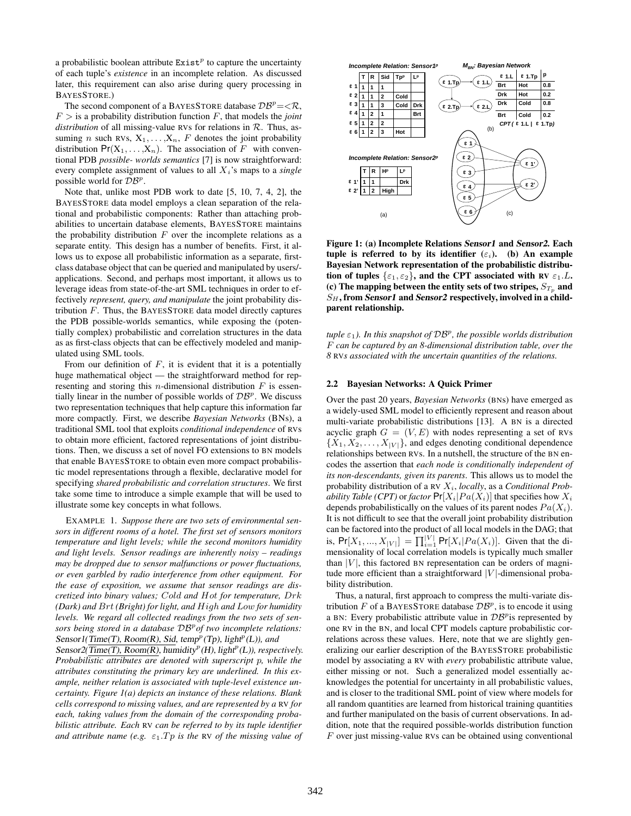a probabilistic boolean attribute  $Exit<sup>p</sup>$  to capture the uncertainty of each tuple's *existence* in an incomplete relation. As discussed later, this requirement can also arise during query processing in BAYESSTORE.)

The second component of a BAYESSTORE database  $\mathcal{DB}^p = \langle \mathcal{R}, \mathcal{B} \rangle$  $F >$  is a probability distribution function F, that models the *joint distribution* of all missing-value RVs for relations in R. Thus, assuming n such RVs,  $X_1, \ldots, X_n$ , F denotes the joint probability distribution  $Pr(X_1, \ldots, X_n)$ . The association of F with conventional PDB *possible- worlds semantics* [7] is now straightforward: every complete assignment of values to all  $X_i$ 's maps to a *single* possible world for  $\mathcal{DB}^p$ .

Note that, unlike most PDB work to date [5, 10, 7, 4, 2], the BAYESSTORE data model employs a clean separation of the relational and probabilistic components: Rather than attaching probabilities to uncertain database elements, BAYESSTORE maintains the probability distribution  $F$  over the incomplete relations as a separate entity. This design has a number of benefits. First, it allows us to expose all probabilistic information as a separate, firstclass database object that can be queried and manipulated by users/ applications. Second, and perhaps most important, it allows us to leverage ideas from state-of-the-art SML techniques in order to effectively *represent, query, and manipulate* the joint probability distribution  $F$ . Thus, the BAYESSTORE data model directly captures the PDB possible-worlds semantics, while exposing the (potentially complex) probabilistic and correlation structures in the data as as first-class objects that can be effectively modeled and manipulated using SML tools.

From our definition of  $F$ , it is evident that it is a potentially huge mathematical object — the straightforward method for representing and storing this *n*-dimensional distribution  $F$  is essentially linear in the number of possible worlds of  $\mathcal{DB}^p$ . We discuss two representation techniques that help capture this information far more compactly. First, we describe *Bayesian Networks* (BNs), a traditional SML tool that exploits *conditional independence* of RVs to obtain more efficient, factored representations of joint distributions. Then, we discuss a set of novel FO extensions to BN models that enable BAYESSTORE to obtain even more compact probabilistic model representations through a flexible, declarative model for specifying *shared probabilistic and correlation structures*. We first take some time to introduce a simple example that will be used to illustrate some key concepts in what follows.

EXAMPLE 1. *Suppose there are two sets of environmental sensors in different rooms of a hotel. The first set of sensors monitors temperature and light levels; while the second monitors humidity and light levels. Sensor readings are inherently noisy – readings may be dropped due to sensor malfunctions or power fluctuations, or even garbled by radio interference from other equipment. For the ease of exposition, we assume that sensor readings are discretized into binary values;* Cold *and* Hot *for temperature,* Drk *(Dark) and* Brt *(Bright) for light, and* High *and* Low *for humidity levels. We regard all collected readings from the two sets of sen*sors being stored in a database DB<sup>p</sup> of two incomplete relations: Sensor1(Time(T), Room(R), Sid, temp<sup>p</sup>(Tp), light<sup>p</sup>(L)), and

 $Sensor2(\overline{Time(T)},\overline{Room(R)},\overline{humidity}^p(H),\overline{light}^p(L))$ , respectively. *Probabilistic attributes are denoted with superscript* p*, while the attributes constituting the primary key are underlined. In this example, neither relation is associated with tuple-level existence uncertainty. Figure 1(a) depicts an instance of these relations. Blank cells correspond to missing values, and are represented by a* RV *for each, taking values from the domain of the corresponding probabilistic attribute. Each* RV *can be referred to by its tuple identifier and attribute name (e.g.*  $\varepsilon_1$ . *Tp is the RV of the missing value of* 



Figure 1: (a) Incomplete Relations Sensor1 and Sensor2. Each tuple is referred to by its identifier  $(\varepsilon_i)$ . (b) An example Bayesian Network representation of the probabilistic distribution of tuples  $\{\varepsilon_1, \varepsilon_2\}$ , and the CPT associated with RV  $\varepsilon_1.L$ . (c) The mapping between the entity sets of two stripes,  $S_{T_n}$  and  $S_H$ , from Sensor1 and Sensor2 respectively, involved in a childparent relationship.

 $\mathit{tuple} \varepsilon_1$ ). In this snapshot of  $\mathcal{DB}^p$ , the possible worlds distribution F *can be captured by an 8-dimensional distribution table, over the 8* RV*s associated with the uncertain quantities of the relations.*

#### 2.2 Bayesian Networks: A Quick Primer

Over the past 20 years, *Bayesian Networks* (BNs) have emerged as a widely-used SML model to efficiently represent and reason about multi-variate probabilistic distributions [13]. A BN is a directed acyclic graph  $G = (V, E)$  with nodes representing a set of RVs  $\{X_1, X_2, \ldots, X_{|V|}\}\$ , and edges denoting conditional dependence relationships between RVs. In a nutshell, the structure of the BN encodes the assertion that *each node is conditionally independent of its non-descendants, given its parents*. This allows us to model the probability distribution of a RV Xi, *locally*, as a *Conditional Probability Table (CPT)* or *factor*  $Pr[X_i] Pa(X_i)$  that specifies how  $X_i$ depends probabilistically on the values of its parent nodes  $Pa(X_i)$ . It is not difficult to see that the overall joint probability distribution can be factored into the product of all local models in the DAG; that is,  $Pr[X_1, ..., X_{|V|}] = \prod_{i=1}^{|V|} Pr[X_i | Pa(X_i)]$ . Given that the dimensionality of local correlation models is typically much smaller than  $|V|$ , this factored BN representation can be orders of magnitude more efficient than a straightforward  $|V|$ -dimensional probability distribution.

Thus, a natural, first approach to compress the multi-variate distribution F of a BAYESSTORE database  $\mathcal{DB}^p$ , is to encode it using a BN: Every probabilistic attribute value in  $\mathcal{DB}^p$  is represented by one RV in the BN, and local CPT models capture probabilistic correlations across these values. Here, note that we are slightly generalizing our earlier description of the BAYESSTORE probabilistic model by associating a RV with *every* probabilistic attribute value, either missing or not. Such a generalized model essentially acknowledges the potential for uncertainty in all probabilistic values, and is closer to the traditional SML point of view where models for all random quantities are learned from historical training quantities and further manipulated on the basis of current observations. In addition, note that the required possible-worlds distribution function F over just missing-value RVs can be obtained using conventional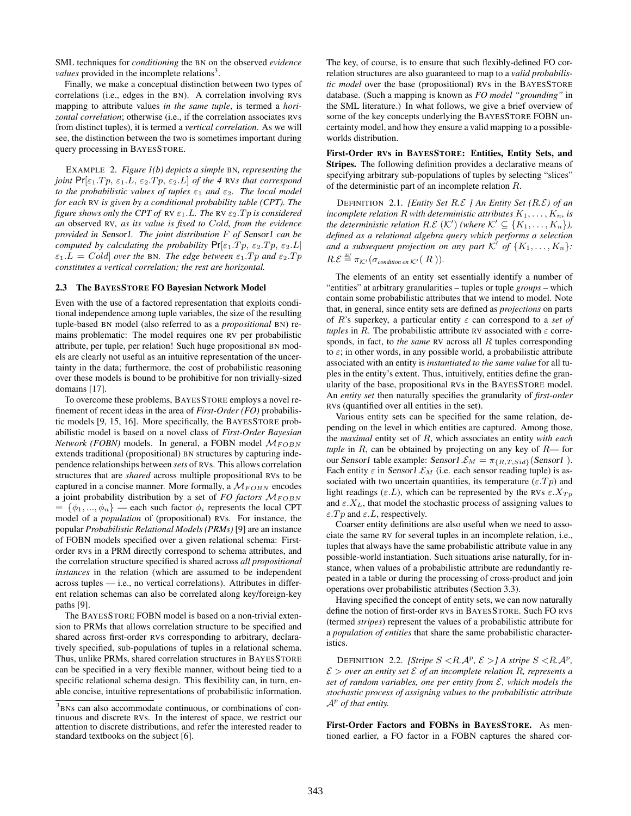SML techniques for *conditioning* the BN on the observed *evidence* values provided in the incomplete relations<sup>3</sup>.

Finally, we make a conceptual distinction between two types of correlations (i.e., edges in the BN). A correlation involving RVs mapping to attribute values *in the same tuple*, is termed a *horizontal correlation*; otherwise (i.e., if the correlation associates RVs from distinct tuples), it is termed a *vertical correlation*. As we will see, the distinction between the two is sometimes important during query processing in BAYESSTORE.

EXAMPLE 2. *Figure 1(b) depicts a simple* BN*, representing the joint*  $Pr[\varepsilon_1.Tp, \varepsilon_1.L, \varepsilon_2.Tp, \varepsilon_2.L]$  *of the 4* RV*s that correspond to the probabilistic values of tuples*  $\varepsilon_1$  *and*  $\varepsilon_2$ *. The local model for each* RV *is given by a conditional probability table (CPT). The figure shows only the CPT of* RV  $\varepsilon_1$ . *L. The RV*  $\varepsilon_2$ *. Tp is considered an* observed RV*, as its value is fixed to* Cold*, from the evidence provided in* Sensor1*. The joint distribution* F *of* Sensor1 *can be computed by calculating the probability*  $Pr[\varepsilon_1.T_p, \varepsilon_2.T_p, \varepsilon_2.L]$  $\varepsilon_1.L = Cold$  *over the BN. The edge between*  $\varepsilon_1.Tp$  *and*  $\varepsilon_2.Tp$ *constitutes a vertical correlation; the rest are horizontal.*

#### 2.3 The BAYESSTORE FO Bayesian Network Model

Even with the use of a factored representation that exploits conditional independence among tuple variables, the size of the resulting tuple-based BN model (also referred to as a *propositional* BN) remains problematic: The model requires one RV per probabilistic attribute, per tuple, per relation! Such huge propositional BN models are clearly not useful as an intuitive representation of the uncertainty in the data; furthermore, the cost of probabilistic reasoning over these models is bound to be prohibitive for non trivially-sized domains [17].

To overcome these problems, BAYESSTORE employs a novel refinement of recent ideas in the area of *First-Order (FO)* probabilistic models [9, 15, 16]. More specifically, the BAYESSTORE probabilistic model is based on a novel class of *First-Order Bayesian Network (FOBN)* models. In general, a FOBN model  $M_{FOBN}$ extends traditional (propositional) BN structures by capturing independence relationships between *sets* of RVs. This allows correlation structures that are *shared* across multiple propositional RVs to be captured in a concise manner. More formally, a  $M_{FOBN}$  encodes a joint probability distribution by a set of  $FO$  factors  $M_{FOBN}$  $= {\phi_1, ..., \phi_n}$  — each such factor  $\phi_i$  represents the local CPT model of a *population* of (propositional) RVs. For instance, the popular *Probabilistic Relational Models (PRMs)* [9] are an instance of FOBN models specified over a given relational schema: Firstorder RVs in a PRM directly correspond to schema attributes, and the correlation structure specified is shared across *all propositional instances* in the relation (which are assumed to be independent across tuples — i.e., no vertical correlations). Attributes in different relation schemas can also be correlated along key/foreign-key paths [9].

The BAYESSTORE FOBN model is based on a non-trivial extension to PRMs that allows correlation structure to be specified and shared across first-order RVs corresponding to arbitrary, declaratively specified, sub-populations of tuples in a relational schema. Thus, unlike PRMs, shared correlation structures in BAYESSTORE can be specified in a very flexible manner, without being tied to a specific relational schema design. This flexibility can, in turn, enable concise, intuitive representations of probabilistic information.

The key, of course, is to ensure that such flexibly-defined FO correlation structures are also guaranteed to map to a *valid probabilistic model* over the base (propositional) RVs in the BAYESSTORE database. (Such a mapping is known as *FO model "grounding"* in the SML literature.) In what follows, we give a brief overview of some of the key concepts underlying the BAYESSTORE FOBN uncertainty model, and how they ensure a valid mapping to a possibleworlds distribution.

First-Order RVs in BAYESSTORE: Entities, Entity Sets, and Stripes. The following definition provides a declarative means of specifying arbitrary sub-populations of tuples by selecting "slices" of the deterministic part of an incomplete relation R.

DEFINITION 2.1. *[Entity Set* R*.*E *] An Entity Set (*R*.*E*) of an incomplete relation* R with deterministic attributes  $K_1, \ldots, K_n$ , is *the deterministic relation*  $R.\mathcal{E}(\mathcal{K}')$  (where  $\mathcal{K}' \subseteq \{K_1, \ldots, K_n\}$ ), *defined as a relational algebra query which performs a selection* and a subsequent projection on any part  $K'$  of  $\{K_1, \ldots, K_n\}$ :  $R.\mathcal{E} \stackrel{\textit{def}}{=} \pi_{\mathcal{K}'}(\sigma_{condition\ on\ \mathcal{K}'}(\ R\ )).$ 

The elements of an entity set essentially identify a number of "entities" at arbitrary granularities – tuples or tuple *groups* – which contain some probabilistic attributes that we intend to model. Note that, in general, since entity sets are defined as *projections* on parts of R's superkey, a particular entity  $\varepsilon$  can correspond to a *set of tuples* in R. The probabilistic attribute RV associated with  $\varepsilon$  corresponds, in fact, to *the same* RV across all R tuples corresponding to  $\varepsilon$ ; in other words, in any possible world, a probabilistic attribute associated with an entity is *instantiated to the same value* for all tuples in the entity's extent. Thus, intuitively, entities define the granularity of the base, propositional RVs in the BAYESSTORE model. An *entity set* then naturally specifies the granularity of *first-order* RVs (quantified over all entities in the set).

Various entity sets can be specified for the same relation, depending on the level in which entities are captured. Among those, the *maximal* entity set of R, which associates an entity *with each tuple* in R, can be obtained by projecting on any key of R— for our Sensor1 table example: Sensor1. $\mathcal{E}_M = \pi_{\{R,T,Sid\}}(Sensor1)$ . Each entity  $\varepsilon$  in Sensor1.  $\mathcal{E}_M$  (i.e. each sensor reading tuple) is associated with two uncertain quantities, its temperature  $(\varepsilon, Tp)$  and light readings (ε.L), which can be represented by the RVs  $\varepsilon$ . $X_{T_n}$ and  $\varepsilon$ . X<sub>L</sub>, that model the stochastic process of assigning values to  $\varepsilon$ . T p and  $\varepsilon$ . L, respectively.

Coarser entity definitions are also useful when we need to associate the same RV for several tuples in an incomplete relation, i.e., tuples that always have the same probabilistic attribute value in any possible-world instantiation. Such situations arise naturally, for instance, when values of a probabilistic attribute are redundantly repeated in a table or during the processing of cross-product and join operations over probabilistic attributes (Section 3.3).

Having specified the concept of entity sets, we can now naturally define the notion of first-order RVs in BAYESSTORE. Such FO RVs (termed *stripes*) represent the values of a probabilistic attribute for a *population of entities* that share the same probabilistic characteristics.

DEFINITION 2.2. *[Stripe*  $S < R.A^p$ *,*  $\mathcal{E} > A$  *stripe*  $S < R.A^p$ , E > *over an entity set* E *of an incomplete relation* R*, represents a set of random variables, one per entity from* E*, which models the stochastic process of assigning values to the probabilistic attribute*  $A^p$  of that entity.

First-Order Factors and FOBNs in BAYESSTORE. As mentioned earlier, a FO factor in a FOBN captures the shared cor-

<sup>&</sup>lt;sup>3</sup>BNs can also accommodate continuous, or combinations of continuous and discrete RVs. In the interest of space, we restrict our attention to discrete distributions, and refer the interested reader to standard textbooks on the subject [6].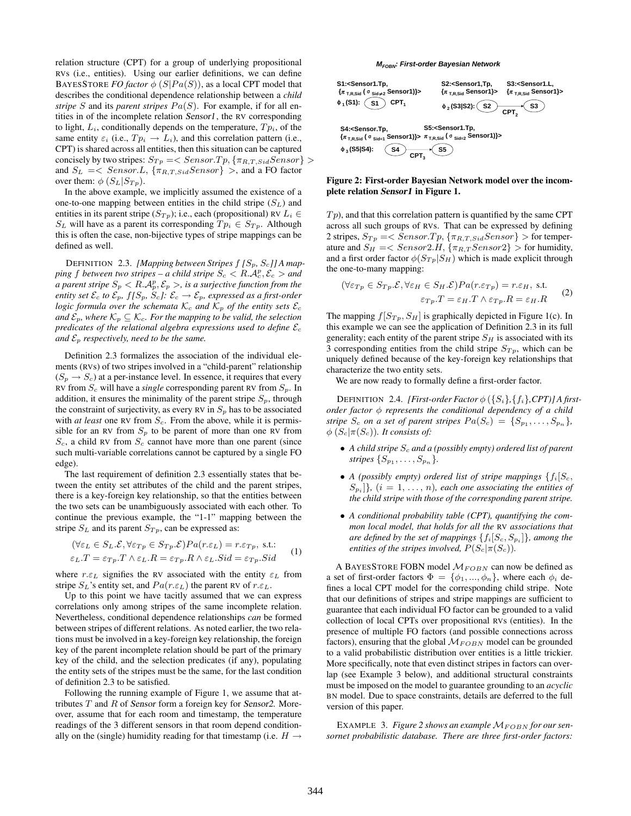relation structure (CPT) for a group of underlying propositional RVs (i.e., entities). Using our earlier definitions, we can define BAYESSTORE *FO factor*  $\phi$  (S|Pa(S)), as a local CPT model that describes the conditional dependence relationship between a *child stripe* S and its *parent stripes*  $Pa(S)$ . For example, if for all entities in of the incomplete relation Sensor1, the RV corresponding to light,  $L_i$ , conditionally depends on the temperature,  $Tp_i$ , of the same entity  $\varepsilon_i$  (i.e.,  $Tp_i \to L_i$ ), and this correlation pattern (i.e., CPT) is shared across all entities, then this situation can be captured concisely by two stripes:  $S_{Tp} = \langle$  Sensor.Tp,  $\{\pi_{R,T,Sid}$ Sensor $\}$  > and  $S_L = \langle$  Sensor. L,  $\{\pi_{R,T,Sid}$ Sensor  $\}$  >, and a FO factor over them:  $\phi$  ( $S_L|S_{Tp}$ ).

In the above example, we implicitly assumed the existence of a one-to-one mapping between entities in the child stripe  $(S_L)$  and entities in its parent stripe ( $S_{Tp}$ ); i.e., each (propositional) RV  $L_i \in$  $S_L$  will have as a parent its corresponding  $Tp_i \in S_{Tp}$ . Although this is often the case, non-bijective types of stripe mappings can be defined as well.

DEFINITION 2.3. *[Mapping between Stripes f [S<sub>p</sub>, S<sub>c</sub>]] A mapping* f *between two stripes* – *a child stripe*  $S_c < R.A_c^p, \mathcal{E}_c >$  *and a parent stripe*  $S_p < R$   $\overline{\mathcal{A}}_p^p$ ,  $\mathcal{E}_p >$ , *is a surjective function from the entity set*  $\mathcal{E}_c$  *to*  $\mathcal{E}_p$ *,*  $f[S_p, S_c]$ *:*  $\mathcal{E}_c \rightarrow \mathcal{E}_p$ *, expressed as a first-order logic formula over the schemata*  $K_c$  *and*  $K_p$  *of the entity sets*  $\mathcal{E}_c$ *and*  $\mathcal{E}_p$ , where  $\mathcal{K}_p \subseteq \mathcal{K}_c$ . For the mapping to be valid, the selection *predicates of the relational algebra expressions used to define*  $\mathcal{E}_c$ *and*  $\mathcal{E}_p$  *respectively, need to be the same.* 

Definition 2.3 formalizes the association of the individual elements (RVs) of two stripes involved in a "child-parent" relationship  $(S_p \rightarrow S_c)$  at a per-instance level. In essence, it requires that every RV from  $S_c$  will have a *single* corresponding parent RV from  $S_p$ . In addition, it ensures the minimality of the parent stripe  $S_p$ , through the constraint of surjectivity, as every RV in  $S_p$  has to be associated with *at least* one RV from  $S_c$ . From the above, while it is permissible for an RV from  $S_p$  to be parent of more than one RV from  $S_c$ , a child RV from  $S_c$  cannot have more than one parent (since such multi-variable correlations cannot be captured by a single FO edge).

The last requirement of definition 2.3 essentially states that between the entity set attributes of the child and the parent stripes, there is a key-foreign key relationship, so that the entities between the two sets can be unambiguously associated with each other. To continue the previous example, the "1-1" mapping between the stripe  $S_L$  and its parent  $S_{Tp}$ , can be expressed as:

$$
(\forall \varepsilon_L \in S_L.\mathcal{E}, \forall \varepsilon_{Tp} \in S_{Tp}.\mathcal{E}) Pa(r.\varepsilon_L) = r.\varepsilon_{Tp}, \text{ s.t.:}
$$
  

$$
\varepsilon_L.T = \varepsilon_{Tp}.T \wedge \varepsilon_L.R = \varepsilon_{Tp}.R \wedge \varepsilon_L.Sid = \varepsilon_{Tp}.Sid \qquad (1)
$$

where  $r.\varepsilon_L$  signifies the RV associated with the entity  $\varepsilon_L$  from stripe  $S_L$ 's entity set, and  $Pa(r.\varepsilon_L)$  the parent RV of  $r.\varepsilon_L$ .

Up to this point we have tacitly assumed that we can express correlations only among stripes of the same incomplete relation. Nevertheless, conditional dependence relationships *can* be formed between stripes of different relations. As noted earlier, the two relations must be involved in a key-foreign key relationship, the foreign key of the parent incomplete relation should be part of the primary key of the child, and the selection predicates (if any), populating the entity sets of the stripes must be the same, for the last condition of definition 2.3 to be satisfied.

Following the running example of Figure 1, we assume that attributes  $T$  and  $R$  of Sensor form a foreign key for Sensor2. Moreover, assume that for each room and timestamp, the temperature readings of the 3 different sensors in that room depend conditionally on the (single) humidity reading for that timestamp (i.e.  $H \rightarrow$ 

#### *MFOBN: First-order Bayesian Network*



#### Figure 2: First-order Bayesian Network model over the incomplete relation Sensor1 in Figure 1.

 $Tp$ ), and that this correlation pattern is quantified by the same CPT across all such groups of RVs. That can be expressed by defining 2 stripes,  $S_{Tp} = \langle$  Sensor.Tp,  $\{\pi_{R,T,Sid}$ Sensor $\}$  > for temperature and  $S_H = \langle$  Sensor2.H,  $\{\pi_{R,T}$ Sensor2} > for humidity, and a first order factor  $\phi(S_{T_p}|S_H)$  which is made explicit through the one-to-many mapping:

$$
(\forall \varepsilon_{Tp} \in S_{Tp}. \mathcal{E}, \forall \varepsilon_H \in S_H. \mathcal{E}) Pa(r.\varepsilon_{Tp}) = r.\varepsilon_H, \text{ s.t.}
$$

$$
\varepsilon_{Tp}.T = \varepsilon_H.T \wedge \varepsilon_{Tp}.R = \varepsilon_H.R
$$
 (2)

The mapping  $f[S_{Tp}, S_H]$  is graphically depicted in Figure 1(c). In this example we can see the application of Definition 2.3 in its full generality; each entity of the parent stripe  $S_H$  is associated with its 3 corresponding entities from the child stripe  $S_{Tp}$ , which can be uniquely defined because of the key-foreign key relationships that characterize the two entity sets.

We are now ready to formally define a first-order factor.

**DEFINITION** 2.4. *[First-order Factor*  $\phi$  ( $\{S_i\}$ ,  $\{f_i\}$ , *CPT*)*]* A first*order factor* φ *represents the conditional dependency of a child* stripe  $S_c$  on a set of parent stripes  $Pa(S_c) = \{S_{p_1}, \ldots, S_{p_n}\},\$  $\phi$  ( $S_c$ | $\pi(S_c)$ ). It consists of:

- A child stripe  $S_c$  and a (possibly empty) ordered list of parent stripes  $\{S_{p_1}, \ldots, S_{p_n}\}.$
- *A (possibly empty) ordered list of stripe mappings*  $\{f_i|S_c,$  $S_{p_i}$ },  $(i = 1, \ldots, n)$ , each one associating the entities of *the child stripe with those of the corresponding parent stripe.*
- *A conditional probability table (CPT), quantifying the common local model, that holds for all the* RV *associations that are defined by the set of mappings* {fi[Sc, S<sup>p</sup><sup>i</sup> ]}*, among the entities of the stripes involved,*  $P(S_c | \pi(S_c))$ *.*

A BAYES STORE FOBN model  $\mathcal{M}_{FOBN}$  can now be defined as a set of first-order factors  $\Phi = {\phi_1, ..., \phi_n}$ , where each  $\phi_i$  defines a local CPT model for the corresponding child stripe. Note that our definitions of stripes and stripe mappings are sufficient to guarantee that each individual FO factor can be grounded to a valid collection of local CPTs over propositional RVs (entities). In the presence of multiple FO factors (and possible connections across factors), ensuring that the global  $\mathcal{M}_{FOBN}$  model can be grounded to a valid probabilistic distribution over entities is a little trickier. More specifically, note that even distinct stripes in factors can overlap (see Example 3 below), and additional structural constraints must be imposed on the model to guarantee grounding to an *acyclic* BN model. Due to space constraints, details are deferred to the full version of this paper.

EXAMPLE 3. Figure 2 shows an example  $M_{FOBN}$  for our sen*sornet probabilistic database. There are three first-order factors:*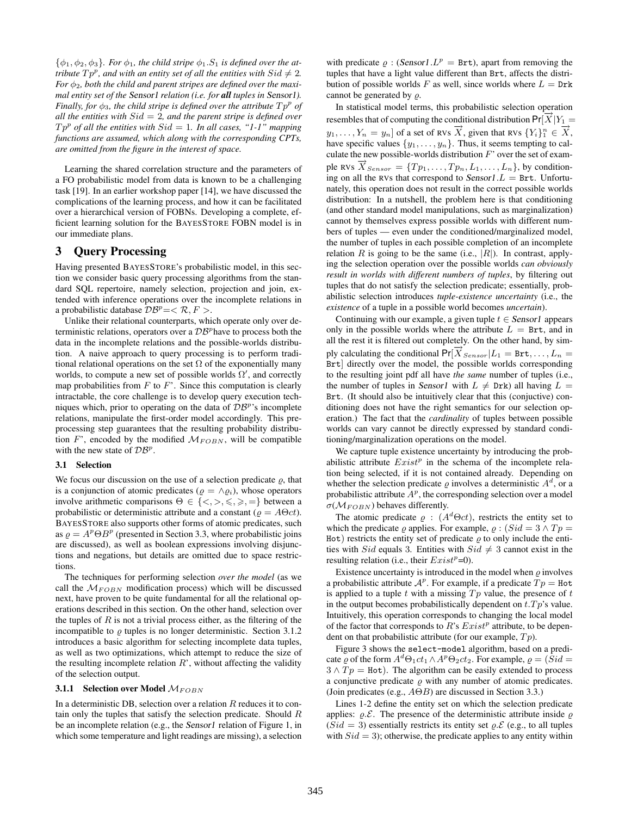$\{\phi_1, \phi_2, \phi_3\}$ *. For*  $\phi_1$ *, the child stripe*  $\phi_1.S_1$  *is defined over the attribute*  $Tp^p$ , and with an entity set of all the entities with  $Sid \neq 2$ . *For*  $\phi_2$ , both the child and parent stripes are defined over the maxi*mal entity set of the Sensor1 relation (i.e. for all tuples in Sensor1). Finally, for*  $\phi_3$ *, the child stripe is defined over the attribute*  $Tp^p$  *of all the entities with* Sid = 2*, and the parent stripe is defined over*  $Tp^p$  of all the entities with  $Sid = 1$ . In all cases, "1-1" mapping *functions are assumed, which along with the corresponding CPTs, are omitted from the figure in the interest of space.*

Learning the shared correlation structure and the parameters of a FO probabilistic model from data is known to be a challenging task [19]. In an earlier workshop paper [14], we have discussed the complications of the learning process, and how it can be facilitated over a hierarchical version of FOBNs. Developing a complete, efficient learning solution for the BAYESSTORE FOBN model is in our immediate plans.

## 3 Query Processing

Having presented BAYESSTORE's probabilistic model, in this section we consider basic query processing algorithms from the standard SQL repertoire, namely selection, projection and join, extended with inference operations over the incomplete relations in a probabilistic database  $\mathcal{DB}^p = \langle \mathcal{R}, F \rangle$ .

Unlike their relational counterparts, which operate only over deterministic relations, operators over a  $\mathcal{DB}^p$  have to process both the data in the incomplete relations and the possible-worlds distribution. A naive approach to query processing is to perform traditional relational operations on the set  $\Omega$  of the exponentially many worlds, to compute a new set of possible worlds  $\Omega'$ , and correctly map probabilities from  $F$  to  $F'$ . Since this computation is clearly intractable, the core challenge is to develop query execution techniques which, prior to operating on the data of  $\mathcal{DB}^p$ 's incomplete relations, manipulate the first-order model accordingly. This preprocessing step guarantees that the resulting probability distribution  $F'$ , encoded by the modified  $\mathcal{M}_{FOBN}$ , will be compatible with the new state of  $\mathcal{DB}^p$ .

#### 3.1 Selection

We focus our discussion on the use of a selection predicate  $\rho$ , that is a conjunction of atomic predicates ( $\varrho = \wedge \varrho_i$ ), whose operators involve arithmetic comparisons  $\Theta \in \{ \langle \rangle, \rangle, \langle \rangle, \rangle, = \}$  between a probabilistic or deterministic attribute and a constant ( $\rho = A\Theta ct$ ). BAYESSTORE also supports other forms of atomic predicates, such as  $\rho = A^p \Theta B^p$  (presented in Section 3.3, where probabilistic joins are discussed), as well as boolean expressions involving disjunctions and negations, but details are omitted due to space restrictions.

The techniques for performing selection *over the model* (as we call the  $M_{FOBN}$  modification process) which will be discussed next, have proven to be quite fundamental for all the relational operations described in this section. On the other hand, selection over the tuples of  $R$  is not a trivial process either, as the filtering of the incompatible to  $\rho$  tuples is no longer deterministic. Section 3.1.2 introduces a basic algorithm for selecting incomplete data tuples, as well as two optimizations, which attempt to reduce the size of the resulting incomplete relation  $R'$ , without affecting the validity of the selection output.

#### 3.1.1 Selection over Model  $M_{FOBN}$

In a deterministic DB, selection over a relation  $R$  reduces it to contain only the tuples that satisfy the selection predicate. Should  $R$ be an incomplete relation (e.g., the Sensor1 relation of Figure 1, in which some temperature and light readings are missing), a selection

with predicate  $\rho$  : (Sensor1. $L^p =$  Brt), apart from removing the tuples that have a light value different than Brt, affects the distribution of possible worlds F as well, since worlds where  $L = Drk$ cannot be generated by  $\rho$ .

In statistical model terms, this probabilistic selection operation resembles that of computing the conditional distribution  $Pr[\vec{X}|Y_1 =$  $y_1, \ldots, Y_n = y_n$  of a set of RVs  $\overrightarrow{X}$ , given that RVs  ${Y_i}_{1}^n \in \overrightarrow{X}$ , have specific values  $\{y_1, \ldots, y_n\}$ . Thus, it seems tempting to calculate the new possible-worlds distribution  $F'$  over the set of example RVs  $\overrightarrow{X}_{Sensor} = \{Tp_1, \ldots, Tp_n, L_1, \ldots, L_n\}$ , by conditioning on all the RVs that correspond to Sensor1. $L = Brt$ . Unfortunately, this operation does not result in the correct possible worlds distribution: In a nutshell, the problem here is that conditioning (and other standard model manipulations, such as marginalization) cannot by themselves express possible worlds with different numbers of tuples — even under the conditioned/marginalized model, the number of tuples in each possible completion of an incomplete relation R is going to be the same (i.e.,  $|R|$ ). In contrast, applying the selection operation over the possible worlds *can obviously result in worlds with different numbers of tuples*, by filtering out tuples that do not satisfy the selection predicate; essentially, probabilistic selection introduces *tuple-existence uncertainty* (i.e., the *existence* of a tuple in a possible world becomes *uncertain*).

Continuing with our example, a given tuple  $t \in$  Sensor1 appears only in the possible worlds where the attribute  $L = Brt$ , and in all the rest it is filtered out completely. On the other hand, by simply calculating the conditional  $Pr[\overrightarrow{X}_{Sensor}|L_1 = \text{Brt},..., L_n =$ Brt] directly over the model, the possible worlds corresponding to the resulting joint pdf all have *the same* number of tuples (i.e., the number of tuples in Sensor1 with  $L \neq \text{Drk}$ ) all having  $L =$ Brt. (It should also be intuitively clear that this (conjuctive) conditioning does not have the right semantics for our selection operation.) The fact that the *cardinality* of tuples between possible worlds can vary cannot be directly expressed by standard conditioning/marginalization operations on the model.

We capture tuple existence uncertainty by introducing the probabilistic attribute  $Exist<sup>p</sup>$  in the schema of the incomplete relation being selected, if it is not contained already. Depending on whether the selection predicate  $\varrho$  involves a deterministic  $A^d$ , or a probabilistic attribute  $A^p$ , the corresponding selection over a model  $\sigma(M_{FOBN})$  behaves differently.

The atomic predicate  $\rho : (A^d \Theta ct)$ , restricts the entity set to which the predicate  $\varrho$  applies. For example,  $\varrho$  : (Sid = 3  $\wedge$  T  $p$  = Hot) restricts the entity set of predicate  $\varrho$  to only include the entities with Sid equals 3. Entities with  $Sid \neq 3$  cannot exist in the resulting relation (i.e., their  $Exist^p=0$ ).

Existence uncertainty is introduced in the model when  $\rho$  involves a probabilistic attribute  $\mathcal{A}^p$ . For example, if a predicate  $Tp = H \circ t$ is applied to a tuple t with a missing  $Tp$  value, the presence of t in the output becomes probabilistically dependent on  $t \cdot T p$ 's value. Intuitively, this operation corresponds to changing the local model of the factor that corresponds to  $R$ 's  $Exist<sup>p</sup>$  attribute, to be dependent on that probabilistic attribute (for our example,  $Tp$ ).

Figure 3 shows the select-model algorithm, based on a predicate  $\varrho$  of the form  $A^d\Theta_1ct_1\wedge A^p\Theta_2ct_2$ . For example,  $\varrho = (\bar{S}id =$  $3 \wedge T_p =$  Hot). The algorithm can be easily extended to process a conjunctive predicate  $\rho$  with any number of atomic predicates. (Join predicates (e.g., AΘB) are discussed in Section 3.3.)

Lines 1-2 define the entity set on which the selection predicate applies:  $\rho$ . E. The presence of the deterministic attribute inside  $\rho$  $(Sid = 3)$  essentially restricts its entity set  $\rho \mathcal{E}$  (e.g., to all tuples with  $Sid = 3$ ); otherwise, the predicate applies to any entity within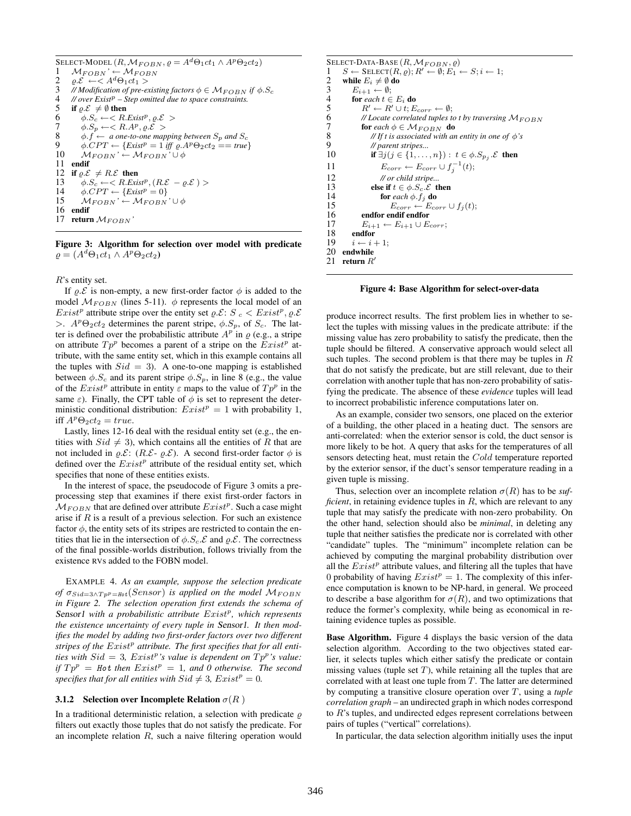```
SELECT-MODEL (R, M_{FOBN}, \varrho = A^d \Theta_1 ct_1 \wedge A^p \Theta_2 ct_2)<br>
M_{FOPN} \leftarrow M_{FOPN}1 M_{FOBN} \leftarrow M_{FOBN}<br>2 a.\mathcal{E} \leftarrow \langle A^d \Theta_1 ct_1 \rangle2 \varrho \mathcal{E} \leftarrow \langle A^d \Theta_1 ct_1 \rangle<br>3 // Modification of pre-e
3 <i>// Modification of pre-existing factors \phi \in \mathcal{M}_{FOBN} if \phi.S_c<br>4 // over Exist<sup>p</sup> – Step omitted due to space constraints
4 // over Exist<sup>p</sup> – Step omitted due to space constraints.<br>5 if \rho \mathcal{E} \neq \emptyset then
5 if \varrho \mathcal{E} \neq \emptyset then<br>6 \phi \mathcal{S}_c \leftarrow \leftarrow \leftarrow R.
6 \phi.S_c \leftarrow \langle R.Exist^p, \rho.\mathcal{E} ><br>7 \phi.S_n \leftarrow \langle R.A^p, \rho.\mathcal{E} >7 \phi.S_p \leftarrow \langle R.A^p, \varrho.\mathcal{E} \rangle<br>8 \phi.f \leftarrow a one-to-one map
8 \phi \cdot f \leftarrow a one-to-one mapping between S_p and S_c<br>9 \phi \subset PT \leftarrow {Frist<sup>p</sup> = 1 iff a AP \Theta set a = true
9 \phi.CPT \leftarrow {Exist<sup>p</sup> = 1 iff \phi.A<sup>p</sup>\Theta_2ct_2 == true}<br>10 M_{FOBN'} \leftarrow M_{FOBN'} \cup \phi10 M_{FOBN}<sup>'</sup> ← M_{FOBN}<sup>'</sup> ∪\phi<br>11 endif
          endif
12 if \varrho \mathcal{E} \neq R\mathcal{E} then<br>13 \phi \mathcal{S}_c \leftarrow \leftarrow R\mathcal{E}xi.
                 \phi.S_c \leftarrow \langle R.Exist^p, (R.E - \varrho.\mathcal{E}) \rangle14 \phi.CPT \leftarrow {\text{Existp = 0}}<br>15 \mathcal{M}_{FORN} \leftarrow \mathcal{M}_{FORN}15 M_{FOBN}' ← M_{FOBN}' ∪ \phi<br>16 endif
          endif
17 return M_{FOBN}<sup>3</sup>
```
Figure 3: Algorithm for selection over model with predicate  $\varrho = (A^d \Theta_1 ct_1 \wedge A^p \Theta_2 ct_2)$ 

R's entity set.

If  $\rho.\mathcal{E}$  is non-empty, a new first-order factor  $\phi$  is added to the model  $M_{FOBN}$  (lines 5-11).  $\phi$  represents the local model of an  $Exist^p$  attribute stripe over the entity set  $\varrho \mathcal{E}: S_c < Exist^p, \varrho \mathcal{E}$  $>$ .  $A^p\Theta_2ct_2$  determines the parent stripe,  $\phi.S_p$ , of  $S_c$ . The latter is defined over the probabilistic attribute  $A^p$  in  $\varrho$  (e.g., a stripe on attribute  $Tp^p$  becomes a parent of a stripe on the  $Exist^p$  attribute, with the same entity set, which in this example contains all the tuples with  $Sid = 3$ ). A one-to-one mapping is established between  $\phi$ . S<sub>c</sub> and its parent stripe  $\phi$ . S<sub>p</sub>, in line 8 (e.g., the value of the  $Exist^p$  attribute in entity  $\varepsilon$  maps to the value of  $Tp^p$  in the same  $\varepsilon$ ). Finally, the CPT table of  $\phi$  is set to represent the deterministic conditional distribution:  $Exist^p = 1$  with probability 1, iff  $A^p\Theta_2ct_2 = true$ .

Lastly, lines 12-16 deal with the residual entity set (e.g., the entities with  $Sid \neq 3$ ), which contains all the entities of R that are not included in  $\varrho.\mathcal{E}: (R.\mathcal{E}\text{-}\varrho.\mathcal{E})$ . A second first-order factor  $\phi$  is defined over the  $Exist<sup>p</sup>$  attribute of the residual entity set, which specifies that none of these entities exists.

In the interest of space, the pseudocode of Figure 3 omits a preprocessing step that examines if there exist first-order factors in  $\overline{\mathcal{M}}_{FOBN}$  that are defined over attribute  $Exist^p$ . Such a case might arise if  $R$  is a result of a previous selection. For such an existence factor  $\phi$ , the entity sets of its stripes are restricted to contain the entities that lie in the intersection of  $\phi$ . S<sub>c</sub>. E and  $\rho$ . E. The correctness of the final possible-worlds distribution, follows trivially from the existence RVs added to the FOBN model.

EXAMPLE 4. *As an example, suppose the selection predicate of*  $\sigma_{Sid=3\land Tp^p=Hot}$  *(Sensor) is applied on the model*  $M_{FOBN}$ *in Figure 2. The selection operation first extends the schema of* Sensor1 with a probabilistic attribute  $Exist<sup>p</sup>$ , which represents *the existence uncertainty of every tuple in* Sensor1*. It then modifies the model by adding two first-order factors over two different* stripes of the  $Exit<sup>p</sup>$  attribute. The first specifies that for all enti*ties with*  $Sid = 3$ *,*  $Exist^p$ *'s value is dependent on*  $Tp^p$ 's value: *if*  $Tp^p =$  Hot then  $Exist^p = 1$ , and 0 otherwise. The second *specifies that for all entities with*  $Si d \neq 3$ *,*  $Exist^p = 0$ *.* 

#### 3.1.2 Selection over Incomplete Relation  $\sigma(R)$

In a traditional deterministic relation, a selection with predicate  $\rho$ filters out exactly those tuples that do not satisfy the predicate. For an incomplete relation  $R$ , such a naive filtering operation would

```
SELECT-DATA-BASE (R, \mathcal{M}_{FOBN}, \varrho)<br>
1 \leq S \leftarrow SELECT(R, \varrho): R' \leftarrow \varnothing: E_1 \leftarrow \varnothing1 S \leftarrow \text{SELECT}(R, \varrho); R' \leftarrow \emptyset; E_1 \leftarrow S; i \leftarrow 1;<br>2 while E_i \neq \emptyset do
2 while E_i \neq \emptyset do<br>3 E_{i+1} \leftarrow \emptyset;
3 E_{i+1} \leftarrow \emptyset;<br>4 for each t \in4 for each t \in E_i do<br>5 R' \leftarrow R' \cup t; E5 R' \leftarrow R' \cup t; E_{corr} \leftarrow \emptyset;<br>6 // Locate correlated tuples to
6 // Locate correlated tuples to t by traversing M_{FOBN}<br>7 for each \phi \in M_{FOBN} do
7 for each \phi \in \mathcal{M}_{FOBN} do<br>8 // If t is associated with an
8 // If t is associated with an entity in one of φ's
9 // parent stripes...<br>10 if \exists j (j \in \{1, \ldots\})10 if \exists j (j \in \{1, ..., n\}) : t \in \phi.S_{p_j}.\mathcal{E} then
 11 E_{corr} \leftarrow E_{corr} \cup f_j^{-1}(t);12 // or child stripe...<br>13 else if t \in \phi. S_c. \mathcal{E} tl
13 else if t \in \phi.S_c.\mathcal{E} then<br>14 for each \phi.f_i do
14 for each \phi.f<sub>j</sub> do<br>15 E_{corr} \leftarrow E_{co}15 E_{corr} \leftarrow E_{corr} \cup f_j(t);<br>16 endfor endifiendfor
                   endfor endif endfor
17 E_{i+1} \leftarrow E_{i+1} \cup E_{corr};<br>18 endfor
18 endfor<br>19 i \leftarrow ii \leftarrow i + 1;20 endwhile<br>21 return Rreturn R<sup>2</sup>
```
Figure 4: Base Algorithm for select-over-data

produce incorrect results. The first problem lies in whether to select the tuples with missing values in the predicate attribute: if the missing value has zero probability to satisfy the predicate, then the tuple should be filtered. A conservative approach would select all such tuples. The second problem is that there may be tuples in  $R$ that do not satisfy the predicate, but are still relevant, due to their correlation with another tuple that has non-zero probability of satisfying the predicate. The absence of these *evidence* tuples will lead to incorrect probabilistic inference computations later on.

As an example, consider two sensors, one placed on the exterior of a building, the other placed in a heating duct. The sensors are anti-correlated: when the exterior sensor is cold, the duct sensor is more likely to be hot. A query that asks for the temperatures of all sensors detecting heat, must retain the Cold temperature reported by the exterior sensor, if the duct's sensor temperature reading in a given tuple is missing.

Thus, selection over an incomplete relation  $\sigma(R)$  has to be *sufficient*, in retaining evidence tuples in R, which are relevant to any tuple that may satisfy the predicate with non-zero probability. On the other hand, selection should also be *minimal*, in deleting any tuple that neither satisfies the predicate nor is correlated with other "candidate" tuples. The "minimum" incomplete relation can be achieved by computing the marginal probability distribution over all the  $Exist<sup>p</sup>$  attribute values, and filtering all the tuples that have 0 probability of having  $Exist^p = 1$ . The complexity of this inference computation is known to be NP-hard, in general. We proceed to describe a base algorithm for  $\sigma(R)$ , and two optimizations that reduce the former's complexity, while being as economical in retaining evidence tuples as possible.

Base Algorithm. Figure 4 displays the basic version of the data selection algorithm. According to the two objectives stated earlier, it selects tuples which either satisfy the predicate or contain missing values (tuple set  $T$ ), while retaining all the tuples that are correlated with at least one tuple from  $T$ . The latter are determined by computing a transitive closure operation over T, using a *tuple correlation graph* – an undirected graph in which nodes correspond to R's tuples, and undirected edges represent correlations between pairs of tuples ("vertical" correlations).

In particular, the data selection algorithm initially uses the input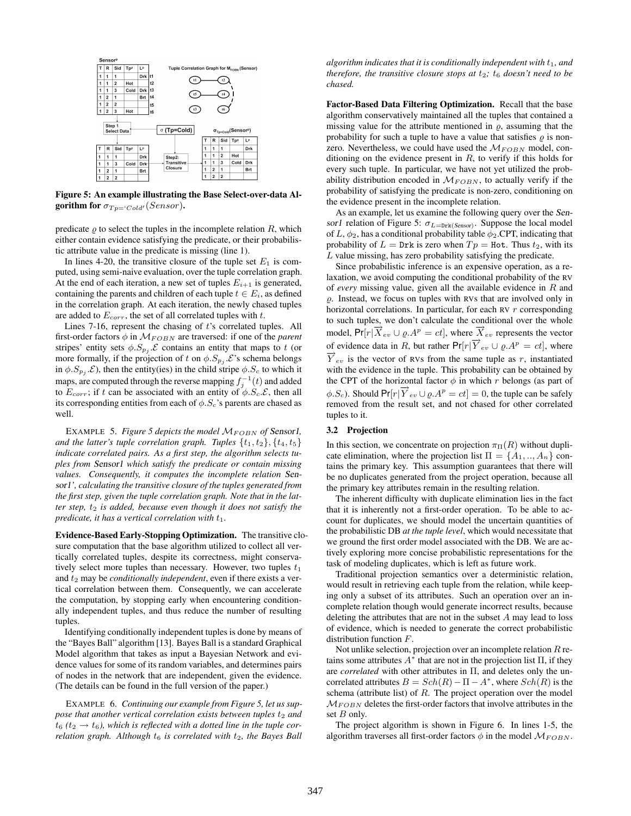

Figure 5: An example illustrating the Base Select-over-data Algorithm for  $\sigma_{T p = 'Gold'}(Sensor)$ .

predicate  $\rho$  to select the tuples in the incomplete relation  $R$ , which either contain evidence satisfying the predicate, or their probabilistic attribute value in the predicate is missing (line 1).

In lines 4-20, the transitive closure of the tuple set  $E_1$  is computed, using semi-naive evaluation, over the tuple correlation graph. At the end of each iteration, a new set of tuples  $E_{i+1}$  is generated, containing the parents and children of each tuple  $t \in E_i$ , as defined in the correlation graph. At each iteration, the newly chased tuples are added to  $E_{corr}$ , the set of all correlated tuples with t.

Lines 7-16, represent the chasing of t's correlated tuples. All first-order factors  $\phi$  in  $\mathcal{M}_{FOBN}$  are traversed: if one of the *parent* stripes' entity sets  $\phi.S_{p_j}.\mathcal{E}$  contains an entity that maps to t (or more formally, if the projection of t on  $\phi.S_{p_j}$ . E's schema belongs in  $\phi$ . $S_{p_j}$ . $\mathcal{E}$ ), then the entity(ies) in the child stripe  $\phi$ . $S_c$  to which it maps, are computed through the reverse mapping  $f_j^{-1}(t)$  and added to  $E_{corr}$ ; if t can be associated with an entity of  $\phi.S_c.\mathcal{E}$ , then all its corresponding entities from each of  $\phi$ . S<sub>c</sub>'s parents are chased as well.

EXAMPLE 5. *Figure 5 depicts the model*  $M_{FOBN}$  *of Sensor1*, *and the latter's tuple correlation graph. Tuples*  $\{t_1, t_2\}$ ,  $\{t_4, t_5\}$ *indicate correlated pairs. As a first step, the algorithm selects tuples from* Sensor1 *which satisfy the predicate or contain missing values. Consequently, it computes the incomplete relation* Sensor1*', calculating the transitive closure of the tuples generated from the first step, given the tuple correlation graph. Note that in the latter step, t<sub>2</sub> is added, because even though it does not satisfy the predicate, it has a vertical correlation with*  $t_1$ *.* 

Evidence-Based Early-Stopping Optimization. The transitive closure computation that the base algorithm utilized to collect all vertically correlated tuples, despite its correctness, might conservatively select more tuples than necessary. However, two tuples  $t_1$ and  $t_2$  may be *conditionally independent*, even if there exists a vertical correlation between them. Consequently, we can accelerate the computation, by stopping early when encountering conditionally independent tuples, and thus reduce the number of resulting tuples.

Identifying conditionally independent tuples is done by means of the "Bayes Ball" algorithm [13]. Bayes Ball is a standard Graphical Model algorithm that takes as input a Bayesian Network and evidence values for some of its random variables, and determines pairs of nodes in the network that are independent, given the evidence. (The details can be found in the full version of the paper.)

EXAMPLE 6. *Continuing our example from Figure 5, let us suppose that another vertical correlation exists between tuples*  $t_2$  *and*  $t_6$  ( $t_2 \rightarrow t_6$ ), which is reflected with a dotted line in the tuple cor*relation graph. Although*  $t_6$  *is correlated with*  $t_2$ *, the Bayes Ball*  *algorithm indicates that it is conditionally independent with*  $t<sub>1</sub>$ *, and therefore, the transitive closure stops at*  $t_2$ ;  $t_6$  *doesn't need to be chased.*

Factor-Based Data Filtering Optimization. Recall that the base algorithm conservatively maintained all the tuples that contained a missing value for the attribute mentioned in  $\rho$ , assuming that the probability for such a tuple to have a value that satisfies  $\rho$  is nonzero. Nevertheless, we could have used the  $\mathcal{M}_{FOBN}$  model, conditioning on the evidence present in  $R$ , to verify if this holds for every such tuple. In particular, we have not yet utilized the probability distribution encoded in  $\mathcal{M}_{FORN}$ , to actually verify if the probability of satisfying the predicate is non-zero, conditioning on the evidence present in the incomplete relation.

As an example, let us examine the following query over the Sensor1 relation of Figure 5:  $\sigma_{L=\text{Drk}(Sensor)}$ . Suppose the local model of L,  $\phi_2$ , has a conditional probability table  $\phi_2$ .CPT, indicating that probability of  $L = \text{Drk}$  is zero when  $Tp = \text{Hot}$ . Thus  $t_2$ , with its L value missing, has zero probability satisfying the predicate.

Since probabilistic inference is an expensive operation, as a relaxation, we avoid computing the conditional probability of the RV of *every* missing value, given all the available evidence in R and  $\rho$ . Instead, we focus on tuples with RVs that are involved only in horizontal correlations. In particular, for each RV r corresponding to such tuples, we don't calculate the conditional over the whole model,  $Pr[r|\overrightarrow{X}_{ev} \cup \varrho.A^p = ct]$ , where  $\overrightarrow{X}_{ev}$  represents the vector of evidence data in R, but rather  $Pr[r|\overrightarrow{Y}_{ev} \cup \varrho.A^p = ct]$ , where  $\overline{Y}_{ev}$  is the vector of RVs from the same tuple as r, instantiated with the evidence in the tuple. This probability can be obtained by the CPT of the horizontal factor  $\phi$  in which r belongs (as part of  $\phi.S_c$ ). Should  $Pr[r|\overrightarrow{Y}_{ev} \cup \rho.A^p = ct] = 0$ , the tuple can be safely removed from the result set, and not chased for other correlated tuples to it.

### 3.2 Projection

In this section, we concentrate on projection  $\pi_{\Pi}(R)$  without duplicate elimination, where the projection list  $\Pi = \{A_1, ..., A_n\}$  contains the primary key. This assumption guarantees that there will be no duplicates generated from the project operation, because all the primary key attributes remain in the resulting relation.

The inherent difficulty with duplicate elimination lies in the fact that it is inherently not a first-order operation. To be able to account for duplicates, we should model the uncertain quantities of the probabilistic DB *at the tuple level*, which would necessitate that we ground the first order model associated with the DB. We are actively exploring more concise probabilistic representations for the task of modeling duplicates, which is left as future work.

Traditional projection semantics over a deterministic relation, would result in retrieving each tuple from the relation, while keeping only a subset of its attributes. Such an operation over an incomplete relation though would generate incorrect results, because deleting the attributes that are not in the subset  $A$  may lead to loss of evidence, which is needed to generate the correct probabilistic distribution function F.

Not unlike selection, projection over an incomplete relation  $R$  retains some attributes  $A^*$  that are not in the projection list  $\Pi$ , if they are *correlated* with other attributes in Π, and deletes only the uncorrelated attributes  $B = Sch(R) - \Pi - A^*$ , where  $Sch(R)$  is the schema (attribute list) of  $R$ . The project operation over the model  $M_{FOBN}$  deletes the first-order factors that involve attributes in the set *B* only.

The project algorithm is shown in Figure 6. In lines 1-5, the algorithm traverses all first-order factors  $\phi$  in the model  $\mathcal{M}_{FOBN}$ .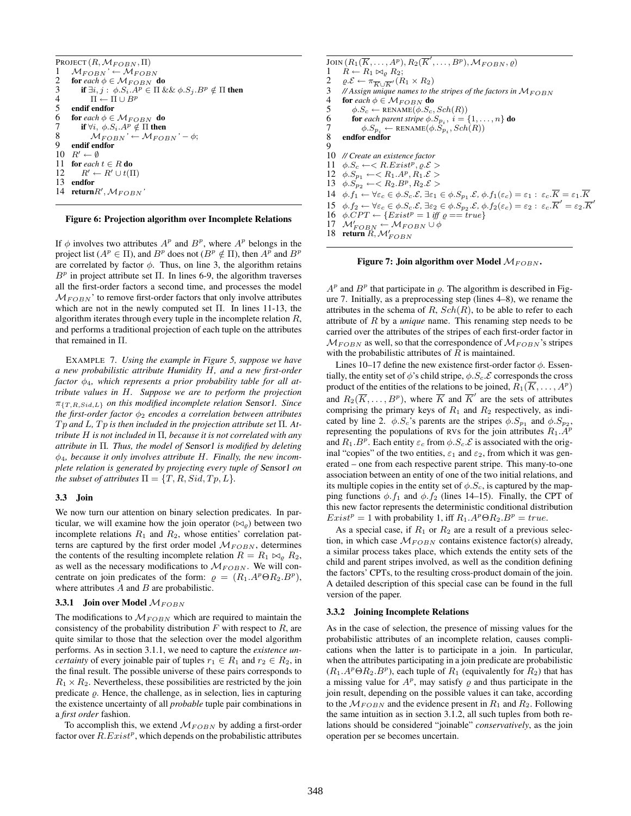```
PROJECT (R, \mathcal{M}_{FOBN}, \Pi)<br>1 \mathcal{M}_{FOBN} \leftarrow \mathcal{M}_{FOB}1 \mathcal{M}_{FOBN}' \leftarrow \mathcal{M}_{FOBN}2 for each \phi \in \mathcal{M}_{FOBN} do
3 if \exists i, j : \phi.S_i.A^p \in \Pi & & \phi.S_j.B^p \notin \Pi then<br>4 \Pi \leftarrow \Pi \cup B^p4 \Pi \leftarrow \Pi \cup B^p<br>5 endif endfor
5 endif endfor<br>6 for each \phi \in6 for each \phi \in M_{FOBN} do<br>7 if \forall i, \phi, S_i, A^p \notin \Pi then
7 if \forall i, \ \phi.S_i.A^p \notin \Pi then<br>8 M_{FOBN} \leftarrow M_{FOB}8 M_{FOBN}' ← M_{FOBN}' – \phi;<br>9 endifiendfor
        endif endfor
10 \quad R' \leftarrow \emptyset11 for each t \in R do
12 R' \leftarrow R' \cup t(\Pi)13 endfor
 14 returnR', \mathcal{M}_{FOBN}'
```
#### Figure 6: Projection algorithm over Incomplete Relations

If  $\phi$  involves two attributes  $A^p$  and  $B^p$ , where  $A^p$  belongs in the project list ( $A^p \in \Pi$ ), and  $B^p$  does not ( $B^p \notin \Pi$ ), then  $A^p$  and  $B^p$ are correlated by factor  $\phi$ . Thus, on line 3, the algorithm retains  $B<sup>p</sup>$  in project attribute set  $\Pi$ . In lines 6-9, the algorithm traverses all the first-order factors a second time, and processes the model  $M_{FOBN}$ ' to remove first-order factors that only involve attributes which are not in the newly computed set  $\Pi$ . In lines 11-13, the algorithm iterates through every tuple in the incomplete relation  $R$ , and performs a traditional projection of each tuple on the attributes that remained in Π.

EXAMPLE 7. *Using the example in Figure 5, suppose we have a new probabilistic attribute Humidity* H*, and a new first-order factor* φ4*, which represents a prior probability table for all attribute values in* H*. Suppose we are to perform the projection* π{T ,R,Sid,L} *on this modified incomplete relation* Sensor1*. Since the first-order factor* φ<sup>2</sup> *encodes a correlation between attributes* T p *and* L*,* T p *is then included in the projection attribute set* Π*. Attribute* H *is not included in* Π*, because it is not correlated with any attribute in* Π*. Thus, the model of* Sensor1 *is modified by deleting* φ4*, because it only involves attribute* H*. Finally, the new incomplete relation is generated by projecting every tuple of* Sensor1 *on the subset of attributes*  $\Pi = \{T, R, Sid, Tp, L\}.$ 

#### 3.3 Join

We now turn our attention on binary selection predicates. In particular, we will examine how the join operator  $(\bowtie_{\rho})$  between two incomplete relations  $R_1$  and  $R_2$ , whose entities' correlation patterns are captured by the first order model  $M_{FOBN}$ , determines the contents of the resulting incomplete relation  $R = R_1 \bowtie_{\rho} R_2$ , as well as the necessary modifications to  $M_{FOBN}$ . We will concentrate on join predicates of the form:  $\rho = (R_1 \cdot A^p \Theta R_2 \cdot B^p)$ , where attributes  $A$  and  $B$  are probabilistic.

#### 3.3.1 Join over Model  $M_{FOBN}$

The modifications to  $M_{FOBN}$  which are required to maintain the consistency of the probability distribution  $F$  with respect to  $R$ , are quite similar to those that the selection over the model algorithm performs. As in section 3.1.1, we need to capture the *existence uncertainty* of every joinable pair of tuples  $r_1 \in R_1$  and  $r_2 \in R_2$ , in the final result. The possible universe of these pairs corresponds to  $R_1 \times R_2$ . Nevertheless, these possibilities are restricted by the join predicate  $\rho$ . Hence, the challenge, as in selection, lies in capturing the existence uncertainty of all *probable* tuple pair combinations in a *first order* fashion.

To accomplish this, we extend  $M_{FOBN}$  by adding a first-order factor over  $\overline{R}.Exit^p$ , which depends on the probabilistic attributes

```
Join (R_1(\overline{K},\ldots, A^p),R_2(\overline{K}',\ldots, B^p),{\cal M}_{FOBN},\varrho)1 \vec{R} \leftarrow R_1 \bowtie_{\varrho} R_2;<br>2 \vec{\rho} \cdot \mathcal{E} \leftarrow \pi_{\overline{\kappa}_1, \overline{\kappa}_2'}(R_1)2 \varrho \mathcal{E} \leftarrow \pi_{\overline{K} \cup \overline{K}'}(R_1 \times R_2)3 // Assign unique names to the stripes of the factors in M_{FOBN}<br>4 for each \phi \in M_{FOBN} do
4 for each \phi \in M_{FOBN} do<br>5 \phi.S_c \leftarrow \text{RENAME}(\phi.S_c)5 \phi.S_c \leftarrow \text{RENAME}(\phi.S_c, Sch(R))<br>6 for each parent stripe \phi.S_{p_i}, i = \{6 for each parent stripe \phi. S_{p_i}, i = \{1, \ldots, n\} do
 7 \qquad \phi.S_{p_i} \leftarrow \text{RENAME}(\phi.S_{p_i}, Sch(R))8 endfor endfor
\Omega10 // Create an existence factor<br>11 \phi.S<sub>c</sub> \leftarrow < R. Exist<sup>p</sup>. \phi.E
11 \phi.S_c \leftarrow \langle R.Exist^p, \rho.\mathcal{E} ><br>12 \phi.S_{\gamma_1} \leftarrow \langle R_1 \vert A^p \vert R_1 \mathcal{E} >12 \phi.S_{p_1} \leftarrow R_1.A^p, R_1.\mathcal{E} ><br>13 \phi.S_{p_2} \leftarrow R_2.B^p, R_2.\mathcal{E} >\phi.S_{p_2} \leftarrow R_2.B^p, R_2.\mathcal{E} >14 \phi.f_1 \leftarrow \forall \varepsilon_c \in \phi.S_c.\mathcal{E}, \exists \varepsilon_1 \in \phi.S_{p_1}.\mathcal{E}, \phi.f_1(\varepsilon_c) = \varepsilon_1 : \varepsilon_c.\overline{K} = \varepsilon_1.\overline{K}15 \phi.f_2 \leftarrow \forall \varepsilon_c \in \phi.S_c.\mathcal{E}, \exists \varepsilon_2 \in \phi.S_{p_2}.\mathcal{E}, \phi.f_2(\varepsilon_c) = \varepsilon_2 : \varepsilon_c.\overline{K}' = \varepsilon_2.\overline{K}'16 \phi.CPT \leftarrow {Exist<sup>p</sup> = 1 iff \rho == true}
 17 M'_{FOBN} \leftarrow M_{FOBN} \cup \phi<br>18 return R, M'_{FOBN}
```
#### Figure 7: Join algorithm over Model  $M_{FOBN}$ .

 $A<sup>p</sup>$  and  $B<sup>p</sup>$  that participate in  $\rho$ . The algorithm is described in Figure 7. Initially, as a preprocessing step (lines 4–8), we rename the attributes in the schema of  $R$ ,  $Sch(R)$ , to be able to refer to each attribute of R by a *unique* name. This renaming step needs to be carried over the attributes of the stripes of each first-order factor in  $M_{FORN}$  as well, so that the correspondence of  $M_{FORN}$ 's stripes with the probabilistic attributes of  $R$  is maintained.

Lines 10–17 define the new existence first-order factor  $\phi$ . Essentially, the entity set of  $\phi$ 's child stripe,  $\phi$ .  $S_c$ .  $\mathcal E$  corresponds the cross product of the entities of the relations to be joined,  $\overline{R}_1(\overline{K}, \ldots, A^p)$ and  $R_2(\overline{K}, \ldots, B^p)$ , where  $\overline{K}$  and  $\overline{K}'$  are the sets of attributes comprising the primary keys of  $R_1$  and  $R_2$  respectively, as indicated by line 2.  $\phi$ . S<sub>c</sub>'s parents are the stripes  $\phi$ . S<sub>p<sub>1</sub></sub> and  $\phi$ . S<sub>p<sub>2</sub></sub>, representing the populations of RVs for the join attributes  $R_1.A^p$ and  $R_1.B^p$ . Each entity  $\varepsilon_c$  from  $\phi.S_c.\mathcal{E}$  is associated with the original "copies" of the two entities,  $\varepsilon_1$  and  $\varepsilon_2$ , from which it was generated – one from each respective parent stripe. This many-to-one association between an entity of one of the two initial relations, and its multiple copies in the entity set of  $\phi$ .  $S_c$ , is captured by the mapping functions  $\phi$ .  $f_1$  and  $\phi$ .  $f_2$  (lines 14–15). Finally, the CPT of this new factor represents the deterministic conditional distribution  $Exist<sup>p</sup> = 1$  with probability 1, iff  $R_1 \cdot A^p \Theta R_2 \cdot B^p = true$ .

As a special case, if  $R_1$  or  $R_2$  are a result of a previous selection, in which case  $\mathcal{M}_{FOBN}$  contains existence factor(s) already, a similar process takes place, which extends the entity sets of the child and parent stripes involved, as well as the condition defining the factors' CPTs, to the resulting cross-product domain of the join. A detailed description of this special case can be found in the full version of the paper.

#### 3.3.2 Joining Incomplete Relations

As in the case of selection, the presence of missing values for the probabilistic attributes of an incomplete relation, causes complications when the latter is to participate in a join. In particular, when the attributes participating in a join predicate are probabilistic  $(R_1 \cdot A^p \Theta R_2 \cdot B^p)$ , each tuple of  $R_1$  (equivalently for  $R_2$ ) that has a missing value for  $A^p$ , may satisfy  $\rho$  and thus participate in the join result, depending on the possible values it can take, according to the  $\mathcal{M}_{FOBN}$  and the evidence present in  $R_1$  and  $R_2$ . Following the same intuition as in section 3.1.2, all such tuples from both relations should be considered "joinable" *conservatively*, as the join operation per se becomes uncertain.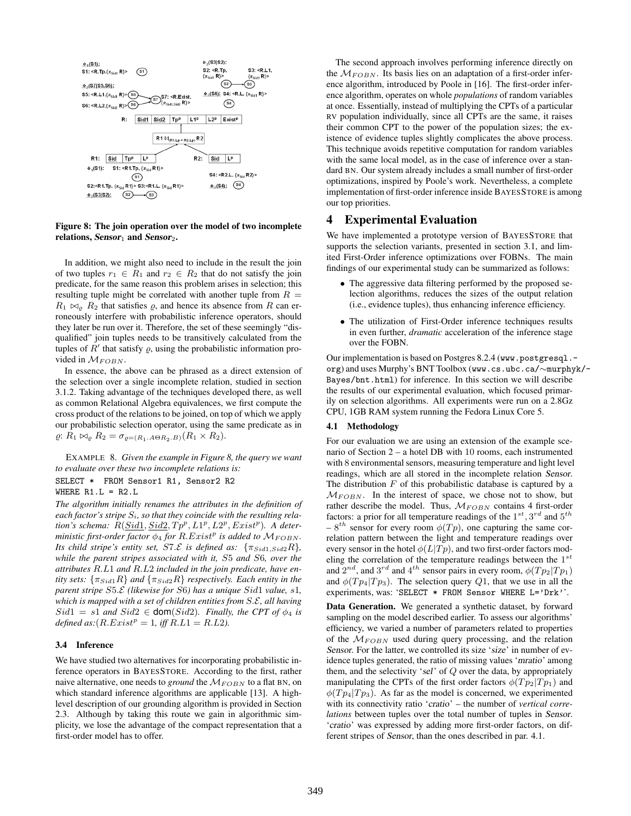

#### Figure 8: The join operation over the model of two incomplete relations, Sensor $_1$  and Sensor $_2$ .

In addition, we might also need to include in the result the join of two tuples  $r_1 \in R_1$  and  $r_2 \in R_2$  that do not satisfy the join predicate, for the same reason this problem arises in selection; this resulting tuple might be correlated with another tuple from  $R =$  $R_1 \bowtie_{\rho} R_2$  that satisfies  $\varrho$ , and hence its absence from R can erroneously interfere with probabilistic inference operators, should they later be run over it. Therefore, the set of these seemingly "disqualified" join tuples needs to be transitively calculated from the tuples of  $R'$  that satisfy  $\varrho$ , using the probabilistic information provided in  $\mathcal{M}_{FOBN}$ .

In essence, the above can be phrased as a direct extension of the selection over a single incomplete relation, studied in section 3.1.2. Taking advantage of the techniques developed there, as well as common Relational Algebra equivalences, we first compute the cross product of the relations to be joined, on top of which we apply our probabilistic selection operator, using the same predicate as in  $\varrho: R_1 \bowtie_{\varrho} R_2 = \sigma_{\varrho=(R_1.A\Theta R_2.B)}(R_1 \times R_2).$ 

EXAMPLE 8. *Given the example in Figure 8, the query we want to evaluate over these two incomplete relations is:*

SELECT \* FROM Sensor1 R1, Sensor2 R2 WHERE  $R1.L = R2.L$ 

*The algorithm initially renames the attributes in the definition of* each factor's stripe  $S_i$ , so that they coincide with the resulting rela- $\lim_{s \to \infty}$  *schema:*  $R(\underline{Sid1}, \underline{Sid2}, Tp^p, L1^p, L2^p, Exist^p)$ . A deter*ministic first-order factor*  $\phi_4$  *for R.Exist<sup>p</sup> is added to*  $M_{FOBN}$ *. Its child stripe's entity set,*  $ST.E$  *is defined as:*  $\{\pi_{Sid1, Sid2}R\}$ , *while the parent stripes associated with it,* S5 *and* S6*, over the attributes* R.L1 *and* R.L2 *included in the join predicate, have entity sets:*  $\{\pi_{Sid1}R\}$  *and*  $\{\pi_{Sid2}R\}$  *respectively. Each entity in the parent stripe* S5.E *(likewise for* S6*) has a unique* Sid1 *value,* s1*, which is mapped with a set of children entities from* S.E*, all having*  $Sid1 = s1$  *and*  $Sid2 \in \text{dom}(Sid2)$ *. Finally, the CPT of*  $\phi_4$  *is defined as:*  $(R.Exist^p = 1$ *, iff*  $R.L1 = R.L2$ *).* 

### 3.4 Inference

We have studied two alternatives for incorporating probabilistic inference operators in BAYESSTORE. According to the first, rather naive alternative, one needs to *ground* the  $M_{FOBN}$  to a flat BN, on which standard inference algorithms are applicable [13]. A highlevel description of our grounding algorithm is provided in Section 2.3. Although by taking this route we gain in algorithmic simplicity, we lose the advantage of the compact representation that a first-order model has to offer.

The second approach involves performing inference directly on the  $M_{FORN}$ . Its basis lies on an adaptation of a first-order inference algorithm, introduced by Poole in [16]. The first-order inference algorithm, operates on whole *populations* of random variables at once. Essentially, instead of multiplying the CPTs of a particular RV population individually, since all CPTs are the same, it raises their common CPT to the power of the population sizes; the existence of evidence tuples slightly complicates the above process. This technique avoids repetitive computation for random variables with the same local model, as in the case of inference over a standard BN. Our system already includes a small number of first-order optimizations, inspired by Poole's work. Nevertheless, a complete implementation of first-order inference inside BAYESSTORE is among our top priorities.

## 4 Experimental Evaluation

We have implemented a prototype version of BAYESSTORE that supports the selection variants, presented in section 3.1, and limited First-Order inference optimizations over FOBNs. The main findings of our experimental study can be summarized as follows:

- The aggressive data filtering performed by the proposed selection algorithms, reduces the sizes of the output relation (i.e., evidence tuples), thus enhancing inference efficiency.
- The utilization of First-Order inference techniques results in even further, *dramatic* acceleration of the inference stage over the FOBN.

Our implementation is based on Postgres 8.2.4 (www.postgresql. org) and uses Murphy's BNT Toolbox (www.cs.ubc.ca/∼murphyk/- Bayes/bnt.html) for inference. In this section we will describe the results of our experimental evaluation, which focused primarily on selection algorithms. All experiments were run on a 2.8Gz CPU, 1GB RAM system running the Fedora Linux Core 5.

#### 4.1 Methodology

For our evaluation we are using an extension of the example scenario of Section 2 – a hotel DB with 10 rooms, each instrumented with 8 environmental sensors, measuring temperature and light level readings, which are all stored in the incomplete relation Sensor. The distribution  $F$  of this probabilistic database is captured by a  $M_{FOBN}$ . In the interest of space, we chose not to show, but rather describe the model. Thus,  $M_{FOBN}$  contains 4 first-order factors: a prior for all temperature readings of the  $1^{st}$ ,  $3^{rd}$  and  $5^{th}$  $-8^{th}$  sensor for every room  $\phi(Tp)$ , one capturing the same correlation pattern between the light and temperature readings over every sensor in the hotel  $\phi(L|Tp)$ , and two first-order factors modeling the correlation of the temperature readings between the  $1^{st}$ and  $2^{nd}$ , and  $3^{rd}$  and  $4^{th}$  sensor pairs in every room,  $\phi(Tp_2|Tp_1)$ and  $\phi(T p_4 | T p_3)$ . The selection query Q1, that we use in all the experiments, was: 'SELECT \* FROM Sensor WHERE L='Drk''.

Data Generation. We generated a synthetic dataset, by forward sampling on the model described earlier. To assess our algorithms' efficiency, we varied a number of parameters related to properties of the  $M_{FOBN}$  used during query processing, and the relation Sensor. For the latter, we controlled its size 'size' in number of evidence tuples generated, the ratio of missing values 'mratio' among them, and the selectivity 'sel' of  $Q$  over the data, by appropriately manipulating the CPTs of the first order factors  $\phi(T p_2 | T p_1)$  and  $\phi(T p_4 | T p_3)$ . As far as the model is concerned, we experimented with its connectivity ratio 'cratio' – the number of *vertical correlations* between tuples over the total number of tuples in Sensor. 'cratio' was expressed by adding more first-order factors, on different stripes of Sensor, than the ones described in par. 4.1.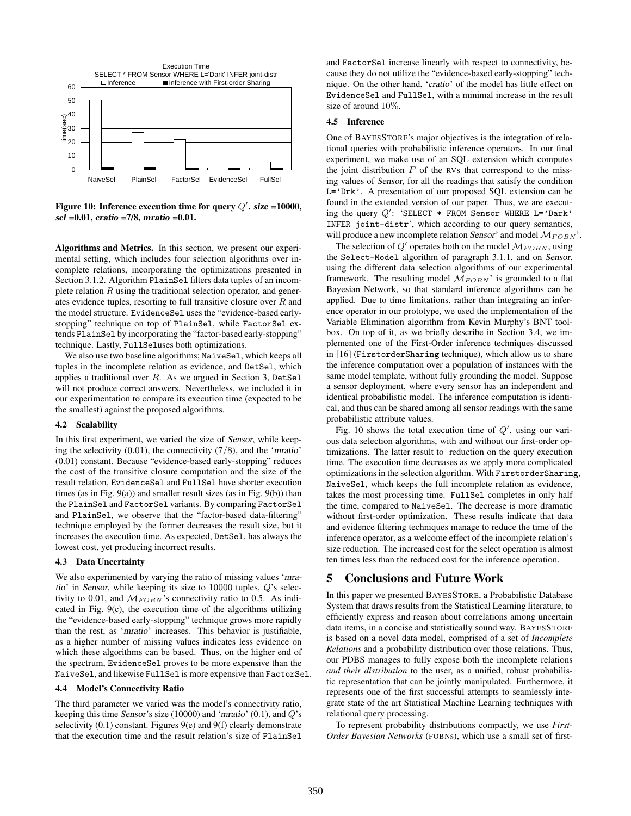

Figure 10: Inference execution time for query  $Q'$ . size =10000, sel =0.01, cratio =7/8, mratio =0.01.

Algorithms and Metrics. In this section, we present our experimental setting, which includes four selection algorithms over incomplete relations, incorporating the optimizations presented in Section 3.1.2. Algorithm PlainSel filters data tuples of an incomplete relation  $R$  using the traditional selection operator, and generates evidence tuples, resorting to full transitive closure over  $R$  and the model structure. EvidenceSel uses the "evidence-based earlystopping" technique on top of PlainSel, while FactorSel extends PlainSel by incorporating the "factor-based early-stopping" technique. Lastly, FullSeluses both optimizations.

We also use two baseline algorithms; NaiveSel, which keeps all tuples in the incomplete relation as evidence, and DetSel, which applies a traditional over  $R$ . As we argued in Section 3, DetSe1 will not produce correct answers. Nevertheless, we included it in our experimentation to compare its execution time (expected to be the smallest) against the proposed algorithms.

## 4.2 Scalability

In this first experiment, we varied the size of Sensor, while keeping the selectivity  $(0.01)$ , the connectivity  $(7/8)$ , and the 'mratio' (0.01) constant. Because "evidence-based early-stopping" reduces the cost of the transitive closure computation and the size of the result relation, EvidenceSel and FullSel have shorter execution times (as in Fig. 9(a)) and smaller result sizes (as in Fig. 9(b)) than the PlainSel and FactorSel variants. By comparing FactorSel and PlainSel, we observe that the "factor-based data-filtering" technique employed by the former decreases the result size, but it increases the execution time. As expected, DetSel, has always the lowest cost, yet producing incorrect results.

#### 4.3 Data Uncertainty

We also experimented by varying the ratio of missing values 'mratio' in Sensor, while keeping its size to 10000 tuples, Q's selectivity to 0.01, and  $\mathcal{M}_{FOBN}$ 's connectivity ratio to 0.5. As indicated in Fig. 9(c), the execution time of the algorithms utilizing the "evidence-based early-stopping" technique grows more rapidly than the rest, as 'mratio' increases. This behavior is justifiable, as a higher number of missing values indicates less evidence on which these algorithms can be based. Thus, on the higher end of the spectrum, EvidenceSel proves to be more expensive than the NaiveSel, and likewise FullSel is more expensive than FactorSel.

#### 4.4 Model's Connectivity Ratio

The third parameter we varied was the model's connectivity ratio, keeping this time Sensor's size (10000) and 'mratio' (0.1), and Q's selectivity  $(0.1)$  constant. Figures  $9(e)$  and  $9(f)$  clearly demonstrate that the execution time and the result relation's size of PlainSel

and FactorSel increase linearly with respect to connectivity, because they do not utilize the "evidence-based early-stopping" technique. On the other hand, 'cratio' of the model has little effect on EvidenceSel and FullSel, with a minimal increase in the result size of around 10%.

#### 4.5 Inference

One of BAYESSTORE's major objectives is the integration of relational queries with probabilistic inference operators. In our final experiment, we make use of an SQL extension which computes the joint distribution  $F$  of the RVs that correspond to the missing values of Sensor, for all the readings that satisfy the condition L='Drk'. A presentation of our proposed SQL extension can be found in the extended version of our paper. Thus, we are executing the query  $Q'$ : 'SELECT  $*$  FROM Sensor WHERE L='Dark' INFER joint-distr', which according to our query semantics, will produce a new incomplete relation Sensor' and model  $\mathcal{M}_{FOBN}$ '.

The selection of  $Q'$  operates both on the model  $\mathcal{M}_{FOBN}$ , using the Select-Model algorithm of paragraph 3.1.1, and on Sensor, using the different data selection algorithms of our experimental framework. The resulting model  $\mathcal{M}_{FOBN}$  is grounded to a flat Bayesian Network, so that standard inference algorithms can be applied. Due to time limitations, rather than integrating an inference operator in our prototype, we used the implementation of the Variable Elimination algorithm from Kevin Murphy's BNT toolbox. On top of it, as we briefly describe in Section 3.4, we implemented one of the First-Order inference techniques discussed in [16] (FirstorderSharing technique), which allow us to share the inference computation over a population of instances with the same model template, without fully grounding the model. Suppose a sensor deployment, where every sensor has an independent and identical probabilistic model. The inference computation is identical, and thus can be shared among all sensor readings with the same probabilistic attribute values.

Fig. 10 shows the total execution time of  $Q'$ , using our various data selection algorithms, with and without our first-order optimizations. The latter result to reduction on the query execution time. The execution time decreases as we apply more complicated optimizations in the selection algorithm. With FirstorderSharing, NaiveSel, which keeps the full incomplete relation as evidence, takes the most processing time. FullSel completes in only half the time, compared to NaiveSel. The decrease is more dramatic without first-order optimization. These results indicate that data and evidence filtering techniques manage to reduce the time of the inference operator, as a welcome effect of the incomplete relation's size reduction. The increased cost for the select operation is almost ten times less than the reduced cost for the inference operation.

#### 5 Conclusions and Future Work

In this paper we presented BAYESSTORE, a Probabilistic Database System that draws results from the Statistical Learning literature, to efficiently express and reason about correlations among uncertain data items, in a concise and statistically sound way. BAYESSTORE is based on a novel data model, comprised of a set of *Incomplete Relations* and a probability distribution over those relations. Thus, our PDBS manages to fully expose both the incomplete relations *and their distribution* to the user, as a unified, robust probabilistic representation that can be jointly manipulated. Furthermore, it represents one of the first successful attempts to seamlessly integrate state of the art Statistical Machine Learning techniques with relational query processing.

To represent probability distributions compactly, we use *First-Order Bayesian Networks* (FOBNs), which use a small set of first-